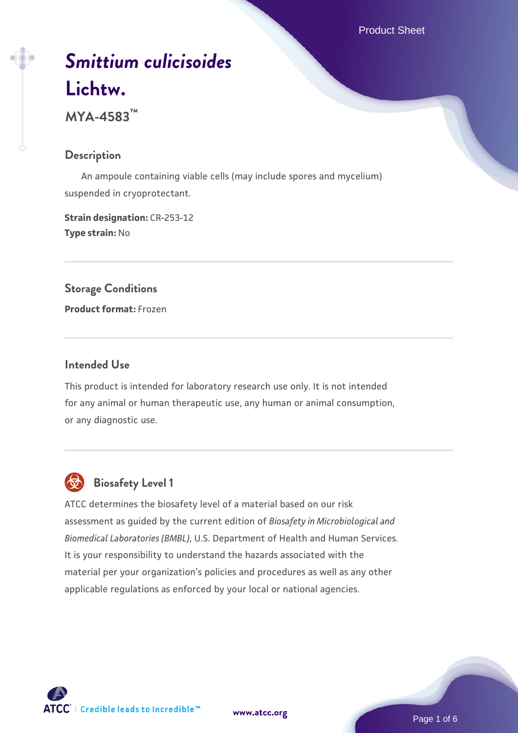# *[Smittium culicisoides](https://www.atcc.org/products/mya-4583)* **[Lichtw.](https://www.atcc.org/products/mya-4583)**

**MYA-4583™**

## **Description**

 An ampoule containing viable cells (may include spores and mycelium) suspended in cryoprotectant.

**Strain designation:** CR-253-12 **Type strain:** No

## **Storage Conditions**

**Product format:** Frozen

## **Intended Use**

This product is intended for laboratory research use only. It is not intended for any animal or human therapeutic use, any human or animal consumption, or any diagnostic use.



# **Biosafety Level 1**

ATCC determines the biosafety level of a material based on our risk assessment as guided by the current edition of *Biosafety in Microbiological and Biomedical Laboratories (BMBL)*, U.S. Department of Health and Human Services. It is your responsibility to understand the hazards associated with the material per your organization's policies and procedures as well as any other applicable regulations as enforced by your local or national agencies.

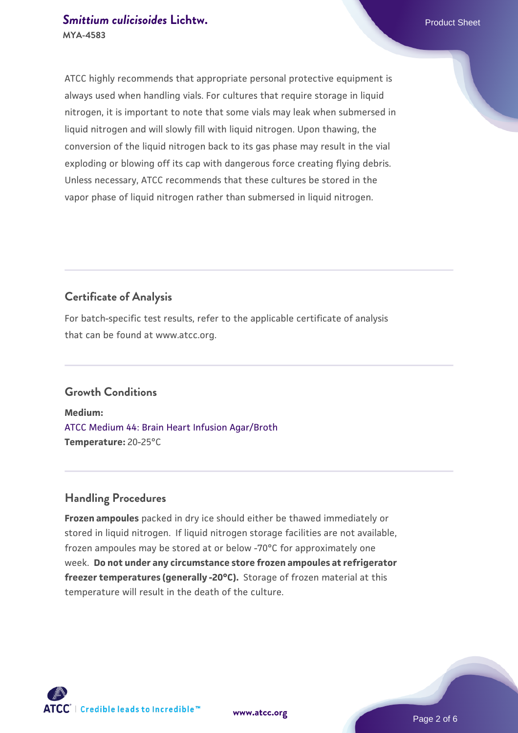## **[Smittium culicisoides](https://www.atcc.org/products/mya-4583) [Lichtw.](https://www.atcc.org/products/mya-4583)** Product Sheet **MYA-4583**

ATCC highly recommends that appropriate personal protective equipment is always used when handling vials. For cultures that require storage in liquid nitrogen, it is important to note that some vials may leak when submersed in liquid nitrogen and will slowly fill with liquid nitrogen. Upon thawing, the conversion of the liquid nitrogen back to its gas phase may result in the vial exploding or blowing off its cap with dangerous force creating flying debris. Unless necessary, ATCC recommends that these cultures be stored in the vapor phase of liquid nitrogen rather than submersed in liquid nitrogen.

## **Certificate of Analysis**

For batch-specific test results, refer to the applicable certificate of analysis that can be found at www.atcc.org.

## **Growth Conditions**

**Medium:**  [ATCC Medium 44: Brain Heart Infusion Agar/Broth](https://www.atcc.org/-/media/product-assets/documents/microbial-media-formulations/4/4/atcc-medium-44.pdf?rev=ce06ac4e5438493b896cd46c7d875629) **Temperature:** 20-25°C

## **Handling Procedures**

**Frozen ampoules** packed in dry ice should either be thawed immediately or stored in liquid nitrogen. If liquid nitrogen storage facilities are not available, frozen ampoules may be stored at or below -70°C for approximately one week. **Do not under any circumstance store frozen ampoules at refrigerator freezer temperatures (generally -20°C).** Storage of frozen material at this temperature will result in the death of the culture.

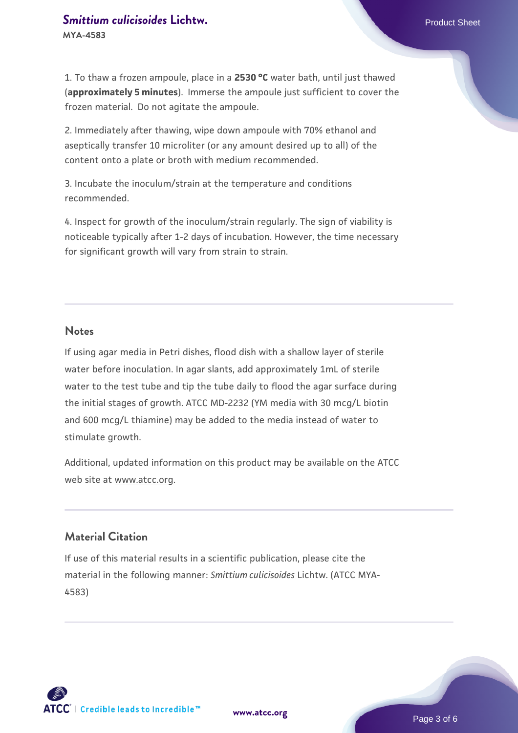# **[Smittium culicisoides](https://www.atcc.org/products/mya-4583) [Lichtw.](https://www.atcc.org/products/mya-4583)** Product Sheet

**MYA-4583**

1. To thaw a frozen ampoule, place in a **2530 °C** water bath, until just thawed (**approximately 5 minutes**). Immerse the ampoule just sufficient to cover the frozen material. Do not agitate the ampoule.

2. Immediately after thawing, wipe down ampoule with 70% ethanol and aseptically transfer 10 microliter (or any amount desired up to all) of the content onto a plate or broth with medium recommended.

3. Incubate the inoculum/strain at the temperature and conditions recommended.

4. Inspect for growth of the inoculum/strain regularly. The sign of viability is noticeable typically after 1-2 days of incubation. However, the time necessary for significant growth will vary from strain to strain.

#### **Notes**

If using agar media in Petri dishes, flood dish with a shallow layer of sterile water before inoculation. In agar slants, add approximately 1mL of sterile water to the test tube and tip the tube daily to flood the agar surface during the initial stages of growth. ATCC MD-2232 (YM media with 30 mcg/L biotin and 600 mcg/L thiamine) may be added to the media instead of water to stimulate growth.

Additional, updated information on this product may be available on the ATCC web site at www.atcc.org.

## **Material Citation**

If use of this material results in a scientific publication, please cite the material in the following manner: *Smittium culicisoides* Lichtw. (ATCC MYA-4583)

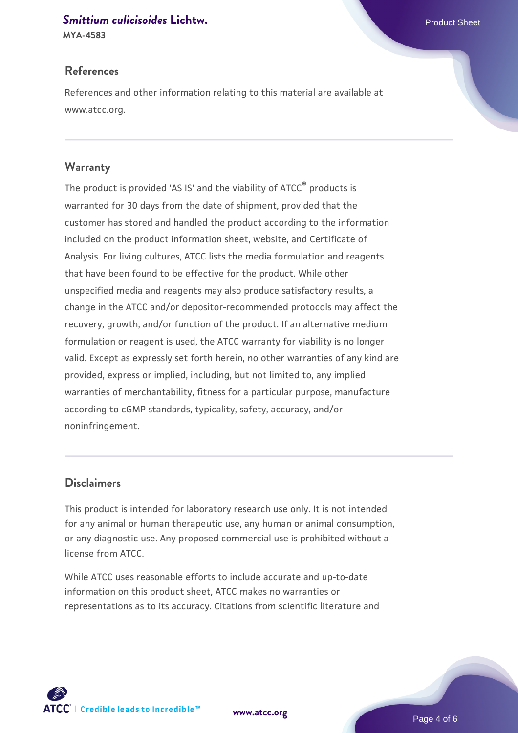#### **[Smittium culicisoides](https://www.atcc.org/products/mya-4583) [Lichtw.](https://www.atcc.org/products/mya-4583)** Product Sheet

**MYA-4583**

## **References**

References and other information relating to this material are available at www.atcc.org.

#### **Warranty**

The product is provided 'AS IS' and the viability of ATCC® products is warranted for 30 days from the date of shipment, provided that the customer has stored and handled the product according to the information included on the product information sheet, website, and Certificate of Analysis. For living cultures, ATCC lists the media formulation and reagents that have been found to be effective for the product. While other unspecified media and reagents may also produce satisfactory results, a change in the ATCC and/or depositor-recommended protocols may affect the recovery, growth, and/or function of the product. If an alternative medium formulation or reagent is used, the ATCC warranty for viability is no longer valid. Except as expressly set forth herein, no other warranties of any kind are provided, express or implied, including, but not limited to, any implied warranties of merchantability, fitness for a particular purpose, manufacture according to cGMP standards, typicality, safety, accuracy, and/or noninfringement.

## **Disclaimers**

This product is intended for laboratory research use only. It is not intended for any animal or human therapeutic use, any human or animal consumption, or any diagnostic use. Any proposed commercial use is prohibited without a license from ATCC.

While ATCC uses reasonable efforts to include accurate and up-to-date information on this product sheet, ATCC makes no warranties or representations as to its accuracy. Citations from scientific literature and

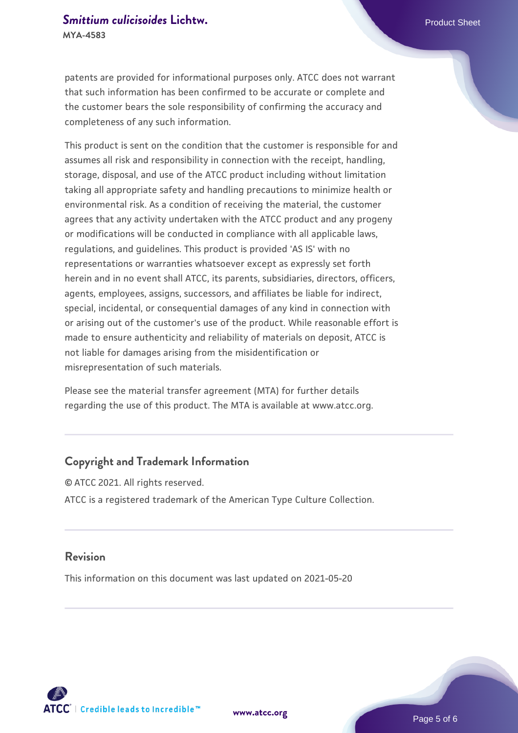patents are provided for informational purposes only. ATCC does not warrant that such information has been confirmed to be accurate or complete and the customer bears the sole responsibility of confirming the accuracy and completeness of any such information.

This product is sent on the condition that the customer is responsible for and assumes all risk and responsibility in connection with the receipt, handling, storage, disposal, and use of the ATCC product including without limitation taking all appropriate safety and handling precautions to minimize health or environmental risk. As a condition of receiving the material, the customer agrees that any activity undertaken with the ATCC product and any progeny or modifications will be conducted in compliance with all applicable laws, regulations, and guidelines. This product is provided 'AS IS' with no representations or warranties whatsoever except as expressly set forth herein and in no event shall ATCC, its parents, subsidiaries, directors, officers, agents, employees, assigns, successors, and affiliates be liable for indirect, special, incidental, or consequential damages of any kind in connection with or arising out of the customer's use of the product. While reasonable effort is made to ensure authenticity and reliability of materials on deposit, ATCC is not liable for damages arising from the misidentification or misrepresentation of such materials.

Please see the material transfer agreement (MTA) for further details regarding the use of this product. The MTA is available at www.atcc.org.

## **Copyright and Trademark Information**

© ATCC 2021. All rights reserved. ATCC is a registered trademark of the American Type Culture Collection.

#### **Revision**

This information on this document was last updated on 2021-05-20